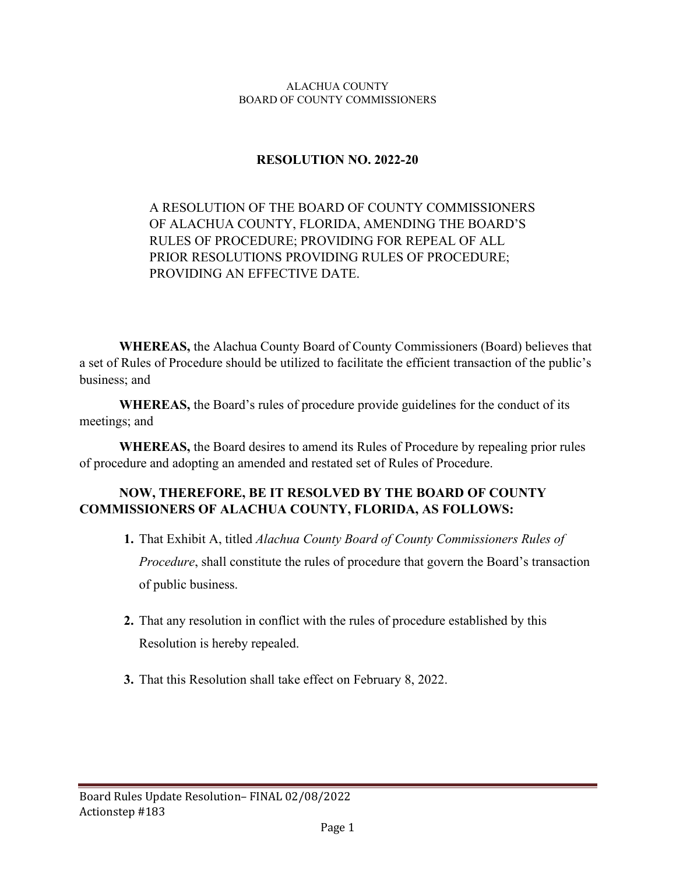#### ALACHUA COUNTY BOARD OF COUNTY COMMISSIONERS

#### **RESOLUTION NO. 2022-20**

#### A RESOLUTION OF THE BOARD OF COUNTY COMMISSIONERS OF ALACHUA COUNTY, FLORIDA, AMENDING THE BOARD'S RULES OF PROCEDURE; PROVIDING FOR REPEAL OF ALL PRIOR RESOLUTIONS PROVIDING RULES OF PROCEDURE; PROVIDING AN EFFECTIVE DATE.

**WHEREAS,** the Alachua County Board of County Commissioners (Board) believes that a set of Rules of Procedure should be utilized to facilitate the efficient transaction of the public's business; and

**WHEREAS,** the Board's rules of procedure provide guidelines for the conduct of its meetings; and

**WHEREAS,** the Board desires to amend its Rules of Procedure by repealing prior rules of procedure and adopting an amended and restated set of Rules of Procedure.

#### **NOW, THEREFORE, BE IT RESOLVED BY THE BOARD OF COUNTY COMMISSIONERS OF ALACHUA COUNTY, FLORIDA, AS FOLLOWS:**

- **1.** That Exhibit A, titled *Alachua County Board of County Commissioners Rules of Procedure*, shall constitute the rules of procedure that govern the Board's transaction of public business.
- **2.** That any resolution in conflict with the rules of procedure established by this Resolution is hereby repealed.
- **3.** That this Resolution shall take effect on February 8, 2022.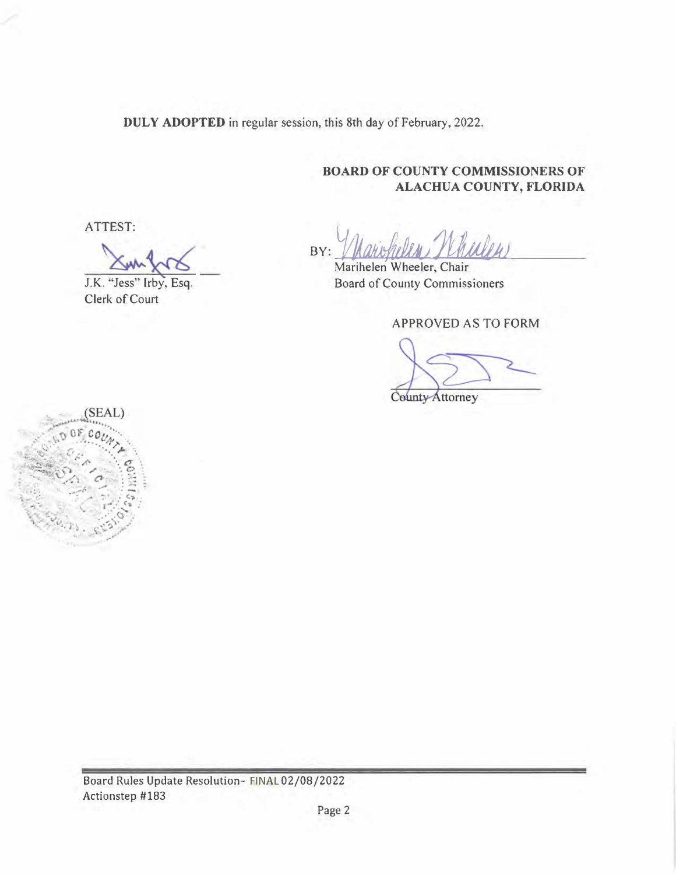DULY ADOPTED in regular session, this 8th day of February, 2022.

#### BOARD OF COUNTY COMMISSIONERS OF ALACHUA COUNTY, FLORIDA

ATTEST:

Clerk of Court

BY: *La Warishellen*, Whulen

J.K. "Jess" Irby, Esq. Board of County Commissioners

APPROVED AS TO FORM

County Attorney



 Board Rules Update Resolution- FINAL 02/08/2022 Actionstep #183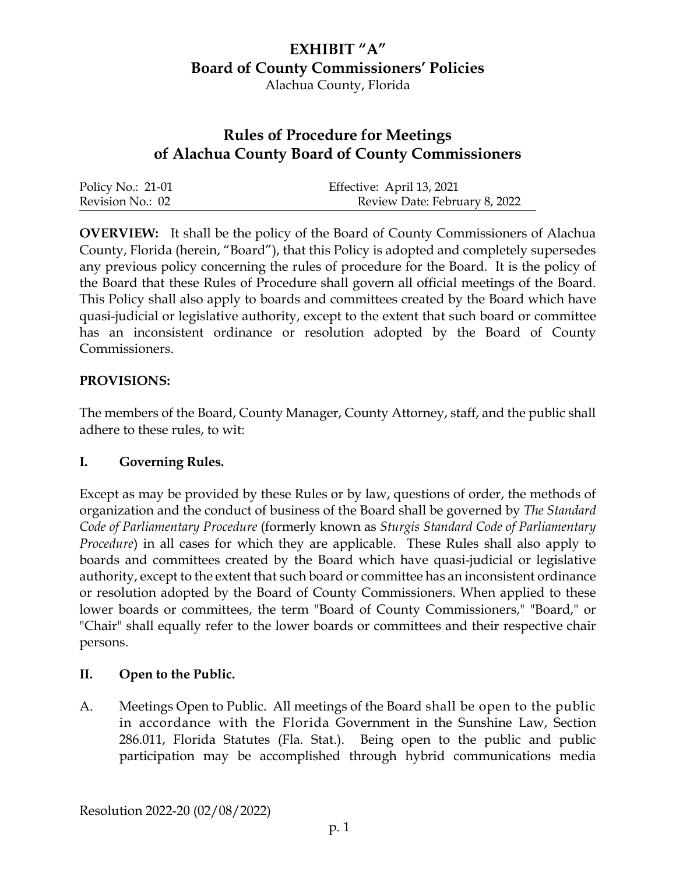Alachua County, Florida

### **Rules of Procedure for Meetings of Alachua County Board of County Commissioners**

| Policy No.: 21-01 | Effective: April 13, 2021     |
|-------------------|-------------------------------|
| Revision No.: 02  | Review Date: February 8, 2022 |

**OVERVIEW:** It shall be the policy of the Board of County Commissioners of Alachua County, Florida (herein, "Board"), that this Policy is adopted and completely supersedes any previous policy concerning the rules of procedure for the Board. It is the policy of the Board that these Rules of Procedure shall govern all official meetings of the Board. This Policy shall also apply to boards and committees created by the Board which have quasi-judicial or legislative authority, except to the extent that such board or committee has an inconsistent ordinance or resolution adopted by the Board of County Commissioners.

#### **PROVISIONS:**

The members of the Board, County Manager, County Attorney, staff, and the public shall adhere to these rules, to wit:

#### **I. Governing Rules.**

Except as may be provided by these Rules or by law, questions of order, the methods of organization and the conduct of business of the Board shall be governed by *The Standard Code of Parliamentary Procedure* (formerly known as *Sturgis Standard Code of Parliamentary Procedure*) in all cases for which they are applicable. These Rules shall also apply to boards and committees created by the Board which have quasi-judicial or legislative authority, except to the extent that such board or committee has an inconsistent ordinance or resolution adopted by the Board of County Commissioners. When applied to these lower boards or committees, the term "Board of County Commissioners," "Board," or "Chair" shall equally refer to the lower boards or committees and their respective chair persons.

#### **II. Open to the Public.**

A. Meetings Open to Public. All meetings of the Board shall be open to the public in accordance with the Florida Government in the Sunshine Law, Section 286.011, Florida Statutes (Fla. Stat.). Being open to the public and public participation may be accomplished through hybrid communications media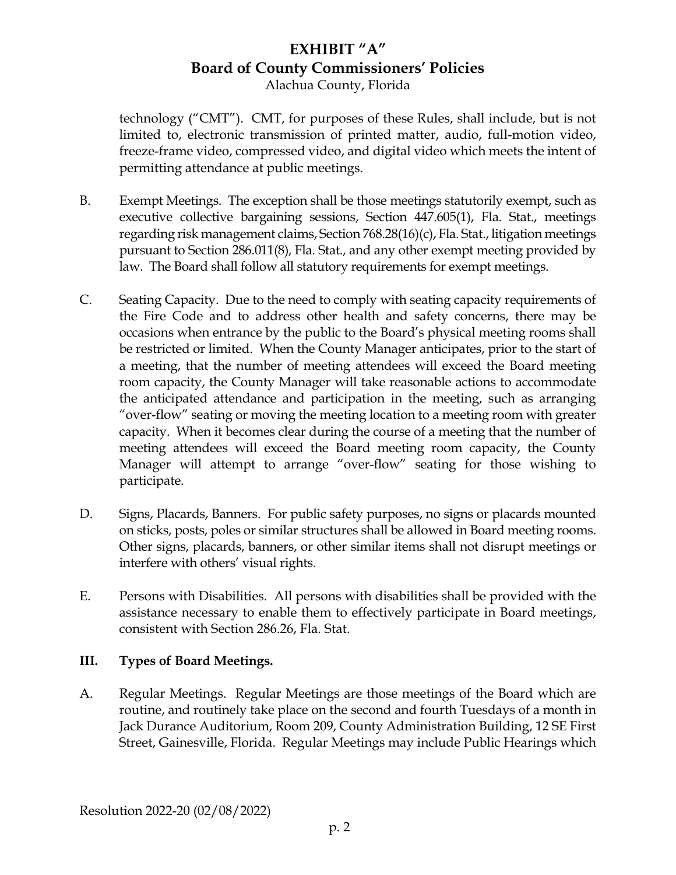Alachua County, Florida

technology ("CMT"). CMT, for purposes of these Rules, shall include, but is not limited to, electronic transmission of printed matter, audio, full-motion video, freeze-frame video, compressed video, and digital video which meets the intent of permitting attendance at public meetings.

- B. Exempt Meetings. The exception shall be those meetings statutorily exempt, such as executive collective bargaining sessions, Section 447.605(1), Fla. Stat., meetings regarding risk management claims, Section 768.28(16)(c), Fla. Stat., litigation meetings pursuant to Section 286.011(8), Fla. Stat., and any other exempt meeting provided by law. The Board shall follow all statutory requirements for exempt meetings.
- C. Seating Capacity. Due to the need to comply with seating capacity requirements of the Fire Code and to address other health and safety concerns, there may be occasions when entrance by the public to the Board's physical meeting rooms shall be restricted or limited. When the County Manager anticipates, prior to the start of a meeting, that the number of meeting attendees will exceed the Board meeting room capacity, the County Manager will take reasonable actions to accommodate the anticipated attendance and participation in the meeting, such as arranging "over-flow" seating or moving the meeting location to a meeting room with greater capacity. When it becomes clear during the course of a meeting that the number of meeting attendees will exceed the Board meeting room capacity, the County Manager will attempt to arrange "over-flow" seating for those wishing to participate.
- D. Signs, Placards, Banners. For public safety purposes, no signs or placards mounted on sticks, posts, poles or similar structures shall be allowed in Board meeting rooms. Other signs, placards, banners, or other similar items shall not disrupt meetings or interfere with others' visual rights.
- E. Persons with Disabilities. All persons with disabilities shall be provided with the assistance necessary to enable them to effectively participate in Board meetings, consistent with Section 286.26, Fla. Stat.

#### **III. Types of Board Meetings.**

A. Regular Meetings. Regular Meetings are those meetings of the Board which are routine, and routinely take place on the second and fourth Tuesdays of a month in Jack Durance Auditorium, Room 209, County Administration Building, 12 SE First Street, Gainesville, Florida. Regular Meetings may include Public Hearings which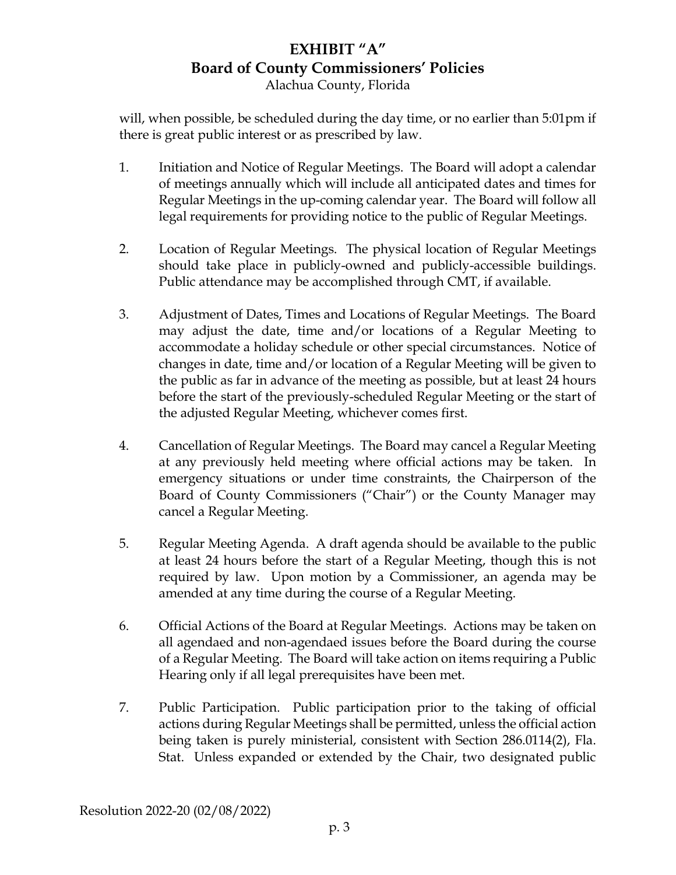Alachua County, Florida

will, when possible, be scheduled during the day time, or no earlier than 5:01pm if there is great public interest or as prescribed by law.

- 1. Initiation and Notice of Regular Meetings. The Board will adopt a calendar of meetings annually which will include all anticipated dates and times for Regular Meetings in the up-coming calendar year. The Board will follow all legal requirements for providing notice to the public of Regular Meetings.
- 2. Location of Regular Meetings. The physical location of Regular Meetings should take place in publicly-owned and publicly-accessible buildings. Public attendance may be accomplished through CMT, if available.
- 3. Adjustment of Dates, Times and Locations of Regular Meetings. The Board may adjust the date, time and/or locations of a Regular Meeting to accommodate a holiday schedule or other special circumstances. Notice of changes in date, time and/or location of a Regular Meeting will be given to the public as far in advance of the meeting as possible, but at least 24 hours before the start of the previously-scheduled Regular Meeting or the start of the adjusted Regular Meeting, whichever comes first.
- 4. Cancellation of Regular Meetings. The Board may cancel a Regular Meeting at any previously held meeting where official actions may be taken. In emergency situations or under time constraints, the Chairperson of the Board of County Commissioners ("Chair") or the County Manager may cancel a Regular Meeting.
- 5. Regular Meeting Agenda. A draft agenda should be available to the public at least 24 hours before the start of a Regular Meeting, though this is not required by law. Upon motion by a Commissioner, an agenda may be amended at any time during the course of a Regular Meeting.
- 6. Official Actions of the Board at Regular Meetings. Actions may be taken on all agendaed and non-agendaed issues before the Board during the course of a Regular Meeting. The Board will take action on items requiring a Public Hearing only if all legal prerequisites have been met.
- 7. Public Participation. Public participation prior to the taking of official actions during Regular Meetings shall be permitted, unless the official action being taken is purely ministerial, consistent with Section 286.0114(2), Fla. Stat. Unless expanded or extended by the Chair, two designated public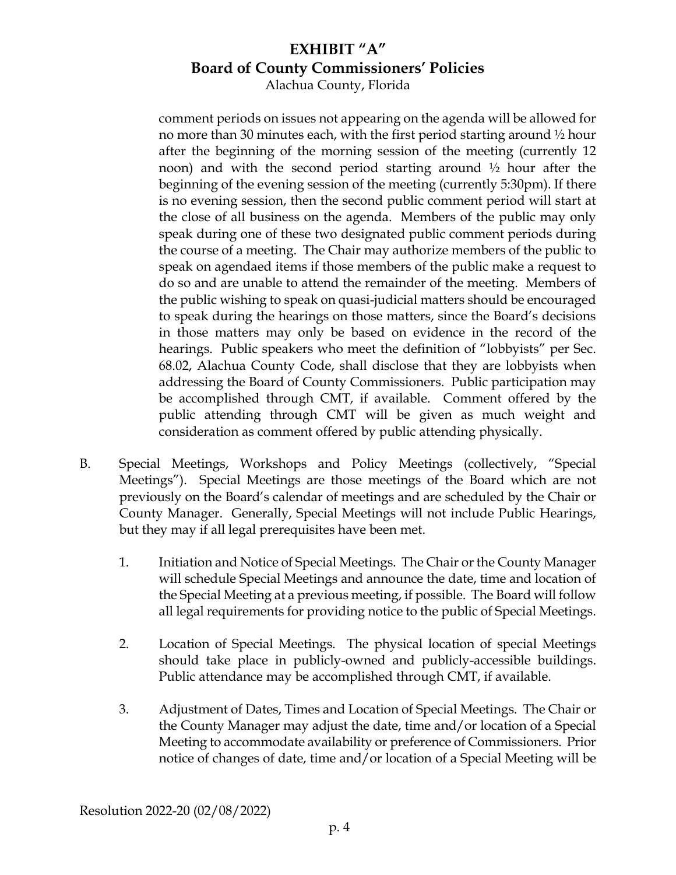Alachua County, Florida

comment periods on issues not appearing on the agenda will be allowed for no more than 30 minutes each, with the first period starting around ½ hour after the beginning of the morning session of the meeting (currently 12 noon) and with the second period starting around  $\frac{1}{2}$  hour after the beginning of the evening session of the meeting (currently 5:30pm). If there is no evening session, then the second public comment period will start at the close of all business on the agenda. Members of the public may only speak during one of these two designated public comment periods during the course of a meeting. The Chair may authorize members of the public to speak on agendaed items if those members of the public make a request to do so and are unable to attend the remainder of the meeting. Members of the public wishing to speak on quasi-judicial matters should be encouraged to speak during the hearings on those matters, since the Board's decisions in those matters may only be based on evidence in the record of the hearings. Public speakers who meet the definition of "lobbyists" per Sec. 68.02, Alachua County Code, shall disclose that they are lobbyists when addressing the Board of County Commissioners. Public participation may be accomplished through CMT, if available. Comment offered by the public attending through CMT will be given as much weight and consideration as comment offered by public attending physically.

- B. Special Meetings, Workshops and Policy Meetings (collectively, "Special Meetings"). Special Meetings are those meetings of the Board which are not previously on the Board's calendar of meetings and are scheduled by the Chair or County Manager. Generally, Special Meetings will not include Public Hearings, but they may if all legal prerequisites have been met.
	- 1. Initiation and Notice of Special Meetings. The Chair or the County Manager will schedule Special Meetings and announce the date, time and location of the Special Meeting at a previous meeting, if possible. The Board will follow all legal requirements for providing notice to the public of Special Meetings.
	- 2. Location of Special Meetings. The physical location of special Meetings should take place in publicly-owned and publicly-accessible buildings. Public attendance may be accomplished through CMT, if available.
	- 3. Adjustment of Dates, Times and Location of Special Meetings. The Chair or the County Manager may adjust the date, time and/or location of a Special Meeting to accommodate availability or preference of Commissioners. Prior notice of changes of date, time and/or location of a Special Meeting will be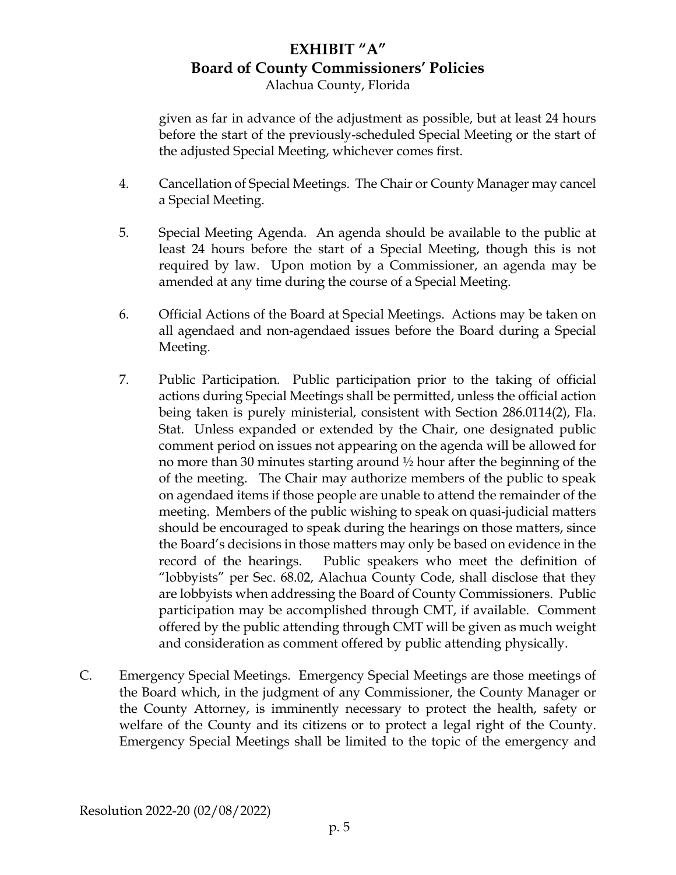Alachua County, Florida

given as far in advance of the adjustment as possible, but at least 24 hours before the start of the previously-scheduled Special Meeting or the start of the adjusted Special Meeting, whichever comes first.

- 4. Cancellation of Special Meetings. The Chair or County Manager may cancel a Special Meeting.
- 5. Special Meeting Agenda. An agenda should be available to the public at least 24 hours before the start of a Special Meeting, though this is not required by law. Upon motion by a Commissioner, an agenda may be amended at any time during the course of a Special Meeting.
- 6. Official Actions of the Board at Special Meetings. Actions may be taken on all agendaed and non-agendaed issues before the Board during a Special Meeting.
- 7. Public Participation. Public participation prior to the taking of official actions during Special Meetings shall be permitted, unless the official action being taken is purely ministerial, consistent with Section 286.0114(2), Fla. Stat. Unless expanded or extended by the Chair, one designated public comment period on issues not appearing on the agenda will be allowed for no more than 30 minutes starting around  $\frac{1}{2}$  hour after the beginning of the of the meeting. The Chair may authorize members of the public to speak on agendaed items if those people are unable to attend the remainder of the meeting. Members of the public wishing to speak on quasi-judicial matters should be encouraged to speak during the hearings on those matters, since the Board's decisions in those matters may only be based on evidence in the record of the hearings. Public speakers who meet the definition of "lobbyists" per Sec. 68.02, Alachua County Code, shall disclose that they are lobbyists when addressing the Board of County Commissioners. Public participation may be accomplished through CMT, if available. Comment offered by the public attending through CMT will be given as much weight and consideration as comment offered by public attending physically.
- C. Emergency Special Meetings. Emergency Special Meetings are those meetings of the Board which, in the judgment of any Commissioner, the County Manager or the County Attorney, is imminently necessary to protect the health, safety or welfare of the County and its citizens or to protect a legal right of the County. Emergency Special Meetings shall be limited to the topic of the emergency and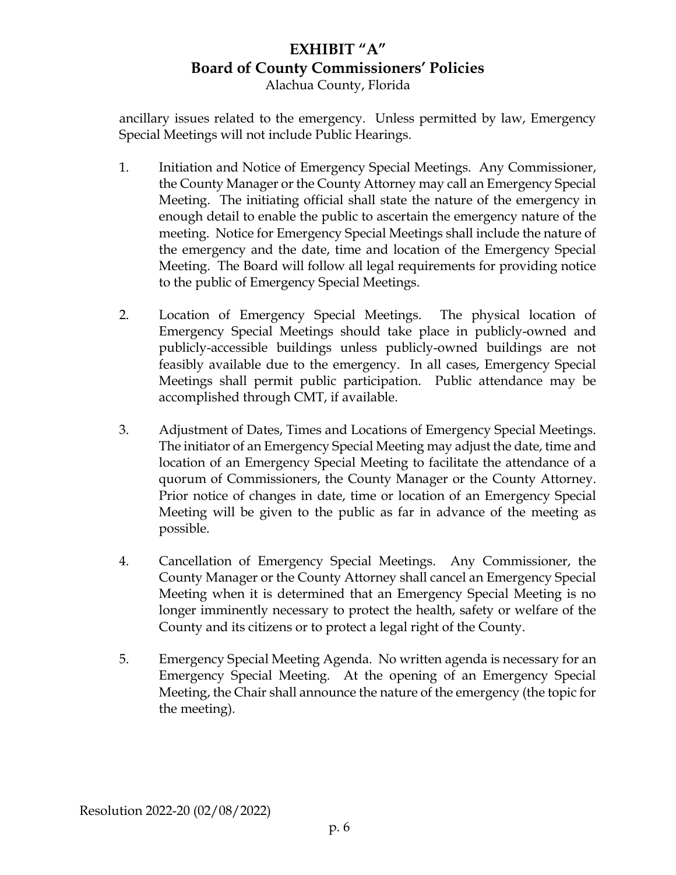Alachua County, Florida

ancillary issues related to the emergency. Unless permitted by law, Emergency Special Meetings will not include Public Hearings.

- 1. Initiation and Notice of Emergency Special Meetings. Any Commissioner, the County Manager or the County Attorney may call an Emergency Special Meeting. The initiating official shall state the nature of the emergency in enough detail to enable the public to ascertain the emergency nature of the meeting. Notice for Emergency Special Meetings shall include the nature of the emergency and the date, time and location of the Emergency Special Meeting. The Board will follow all legal requirements for providing notice to the public of Emergency Special Meetings.
- 2. Location of Emergency Special Meetings. The physical location of Emergency Special Meetings should take place in publicly-owned and publicly-accessible buildings unless publicly-owned buildings are not feasibly available due to the emergency. In all cases, Emergency Special Meetings shall permit public participation. Public attendance may be accomplished through CMT, if available.
- 3. Adjustment of Dates, Times and Locations of Emergency Special Meetings. The initiator of an Emergency Special Meeting may adjust the date, time and location of an Emergency Special Meeting to facilitate the attendance of a quorum of Commissioners, the County Manager or the County Attorney. Prior notice of changes in date, time or location of an Emergency Special Meeting will be given to the public as far in advance of the meeting as possible.
- 4. Cancellation of Emergency Special Meetings. Any Commissioner, the County Manager or the County Attorney shall cancel an Emergency Special Meeting when it is determined that an Emergency Special Meeting is no longer imminently necessary to protect the health, safety or welfare of the County and its citizens or to protect a legal right of the County.
- 5. Emergency Special Meeting Agenda. No written agenda is necessary for an Emergency Special Meeting. At the opening of an Emergency Special Meeting, the Chair shall announce the nature of the emergency (the topic for the meeting).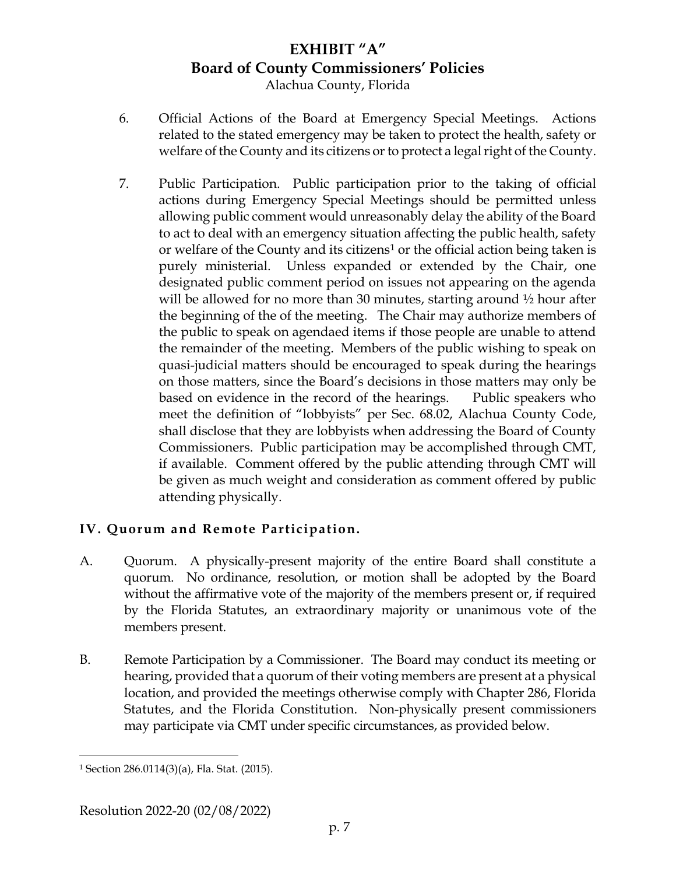### **EXHIBIT "A" Board of County Commissioners' Policies** Alachua County, Florida

- 6. Official Actions of the Board at Emergency Special Meetings. Actions related to the stated emergency may be taken to protect the health, safety or welfare of the County and its citizens or to protect a legal right of the County.
- 7. Public Participation. Public participation prior to the taking of official actions during Emergency Special Meetings should be permitted unless allowing public comment would unreasonably delay the ability of the Board to act to deal with an emergency situation affecting the public health, safety or welfare of the County and its citizens<sup>[1](#page-8-0)</sup> or the official action being taken is purely ministerial. Unless expanded or extended by the Chair, one designated public comment period on issues not appearing on the agenda will be allowed for no more than 30 minutes, starting around  $\frac{1}{2}$  hour after the beginning of the of the meeting. The Chair may authorize members of the public to speak on agendaed items if those people are unable to attend the remainder of the meeting. Members of the public wishing to speak on quasi-judicial matters should be encouraged to speak during the hearings on those matters, since the Board's decisions in those matters may only be based on evidence in the record of the hearings. Public speakers who meet the definition of "lobbyists" per Sec. 68.02, Alachua County Code, shall disclose that they are lobbyists when addressing the Board of County Commissioners. Public participation may be accomplished through CMT, if available. Comment offered by the public attending through CMT will be given as much weight and consideration as comment offered by public attending physically.

### **IV. Quorum and Remote Participation.**

- A. Quorum. A physically-present majority of the entire Board shall constitute a quorum. No ordinance, resolution, or motion shall be adopted by the Board without the affirmative vote of the majority of the members present or, if required by the Florida Statutes, an extraordinary majority or unanimous vote of the members present.
- B. Remote Participation by a Commissioner. The Board may conduct its meeting or hearing, provided that a quorum of their voting members are present at a physical location, and provided the meetings otherwise comply with Chapter 286, Florida Statutes, and the Florida Constitution. Non-physically present commissioners may participate via CMT under specific circumstances, as provided below.

<span id="page-8-0"></span><sup>1</sup> Section 286.0114(3)(a), Fla. Stat. (2015).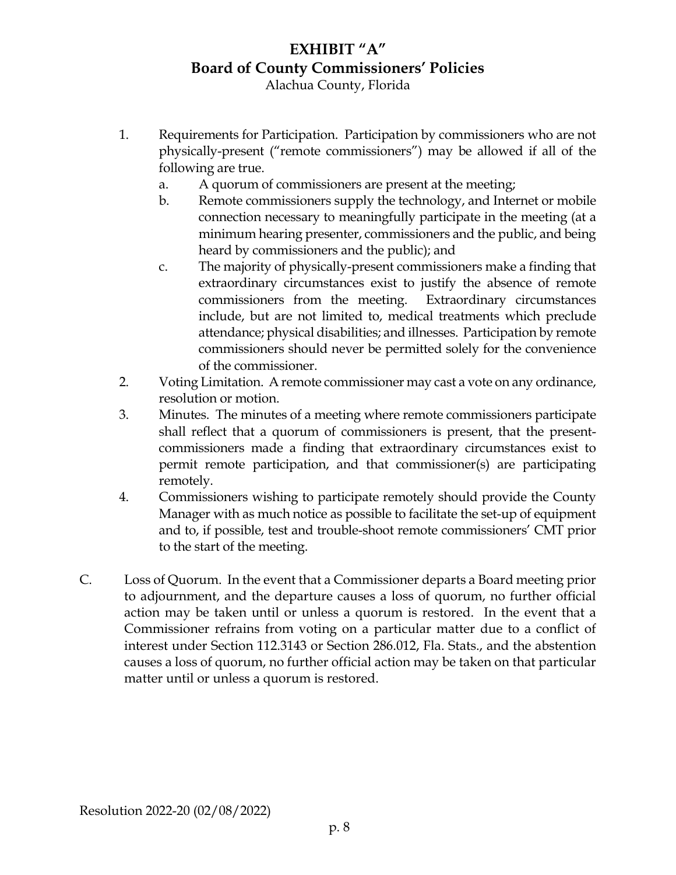Alachua County, Florida

- 1. Requirements for Participation. Participation by commissioners who are not physically-present ("remote commissioners") may be allowed if all of the following are true.
	- a. A quorum of commissioners are present at the meeting;
	- b. Remote commissioners supply the technology, and Internet or mobile connection necessary to meaningfully participate in the meeting (at a minimum hearing presenter, commissioners and the public, and being heard by commissioners and the public); and
	- c. The majority of physically-present commissioners make a finding that extraordinary circumstances exist to justify the absence of remote commissioners from the meeting. Extraordinary circumstances include, but are not limited to, medical treatments which preclude attendance; physical disabilities; and illnesses. Participation by remote commissioners should never be permitted solely for the convenience of the commissioner.
- 2. Voting Limitation. A remote commissioner may cast a vote on any ordinance, resolution or motion.
- 3. Minutes. The minutes of a meeting where remote commissioners participate shall reflect that a quorum of commissioners is present, that the presentcommissioners made a finding that extraordinary circumstances exist to permit remote participation, and that commissioner(s) are participating remotely.
- 4. Commissioners wishing to participate remotely should provide the County Manager with as much notice as possible to facilitate the set-up of equipment and to, if possible, test and trouble-shoot remote commissioners' CMT prior to the start of the meeting.
- C. Loss of Quorum. In the event that a Commissioner departs a Board meeting prior to adjournment, and the departure causes a loss of quorum, no further official action may be taken until or unless a quorum is restored. In the event that a Commissioner refrains from voting on a particular matter due to a conflict of interest under Section 112.3143 or Section 286.012, Fla. Stats., and the abstention causes a loss of quorum, no further official action may be taken on that particular matter until or unless a quorum is restored.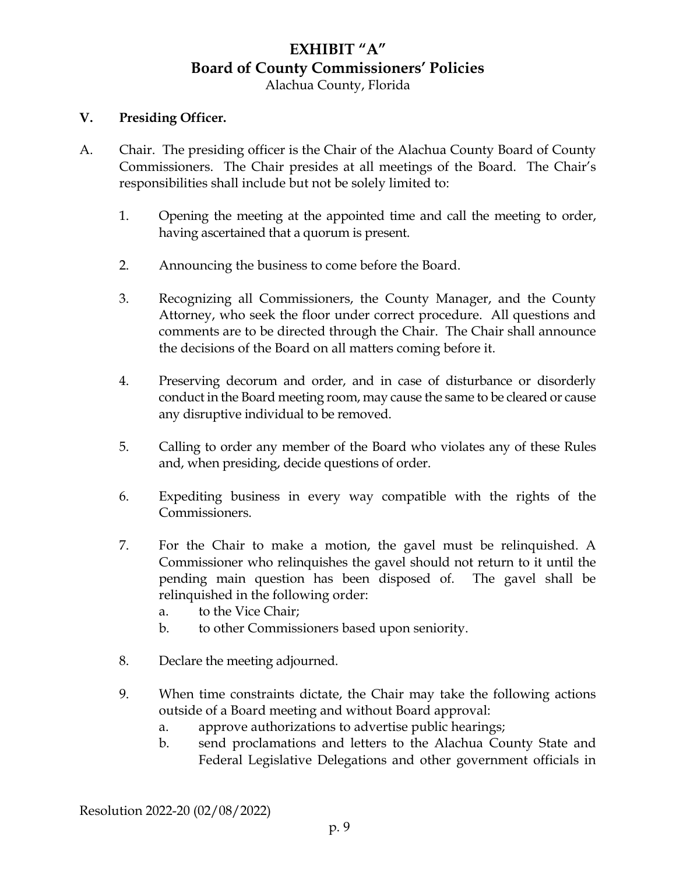Alachua County, Florida

#### **V. Presiding Officer.**

- A. Chair. The presiding officer is the Chair of the Alachua County Board of County Commissioners. The Chair presides at all meetings of the Board. The Chair's responsibilities shall include but not be solely limited to:
	- 1. Opening the meeting at the appointed time and call the meeting to order, having ascertained that a quorum is present.
	- 2. Announcing the business to come before the Board.
	- 3. Recognizing all Commissioners, the County Manager, and the County Attorney, who seek the floor under correct procedure. All questions and comments are to be directed through the Chair. The Chair shall announce the decisions of the Board on all matters coming before it.
	- 4. Preserving decorum and order, and in case of disturbance or disorderly conduct in the Board meeting room, may cause the same to be cleared or cause any disruptive individual to be removed.
	- 5. Calling to order any member of the Board who violates any of these Rules and, when presiding, decide questions of order.
	- 6. Expediting business in every way compatible with the rights of the Commissioners.
	- 7. For the Chair to make a motion, the gavel must be relinquished. A Commissioner who relinquishes the gavel should not return to it until the pending main question has been disposed of. The gavel shall be relinquished in the following order:
		- a. to the Vice Chair;
		- b. to other Commissioners based upon seniority.
	- 8. Declare the meeting adjourned.
	- 9. When time constraints dictate, the Chair may take the following actions outside of a Board meeting and without Board approval:
		- a. approve authorizations to advertise public hearings;
		- b. send proclamations and letters to the Alachua County State and Federal Legislative Delegations and other government officials in

Resolution 2022-20 (02/08/2022)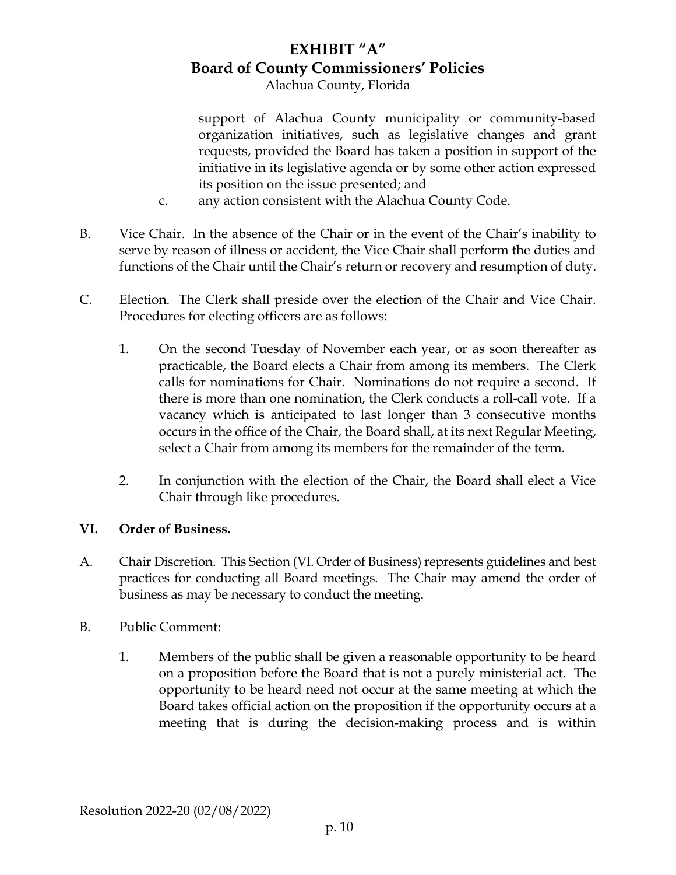Alachua County, Florida

support of Alachua County municipality or community-based organization initiatives, such as legislative changes and grant requests, provided the Board has taken a position in support of the initiative in its legislative agenda or by some other action expressed its position on the issue presented; and

- c. any action consistent with the Alachua County Code.
- B. Vice Chair. In the absence of the Chair or in the event of the Chair's inability to serve by reason of illness or accident, the Vice Chair shall perform the duties and functions of the Chair until the Chair's return or recovery and resumption of duty.
- C. Election. The Clerk shall preside over the election of the Chair and Vice Chair. Procedures for electing officers are as follows:
	- 1. On the second Tuesday of November each year, or as soon thereafter as practicable, the Board elects a Chair from among its members. The Clerk calls for nominations for Chair. Nominations do not require a second. If there is more than one nomination, the Clerk conducts a roll-call vote. If a vacancy which is anticipated to last longer than 3 consecutive months occurs in the office of the Chair, the Board shall, at its next Regular Meeting, select a Chair from among its members for the remainder of the term.
	- 2. In conjunction with the election of the Chair, the Board shall elect a Vice Chair through like procedures.

#### **VI. Order of Business.**

- A. Chair Discretion. This Section (VI. Order of Business) represents guidelines and best practices for conducting all Board meetings. The Chair may amend the order of business as may be necessary to conduct the meeting.
- B. Public Comment:
	- 1. Members of the public shall be given a reasonable opportunity to be heard on a proposition before the Board that is not a purely ministerial act. The opportunity to be heard need not occur at the same meeting at which the Board takes official action on the proposition if the opportunity occurs at a meeting that is during the decision-making process and is within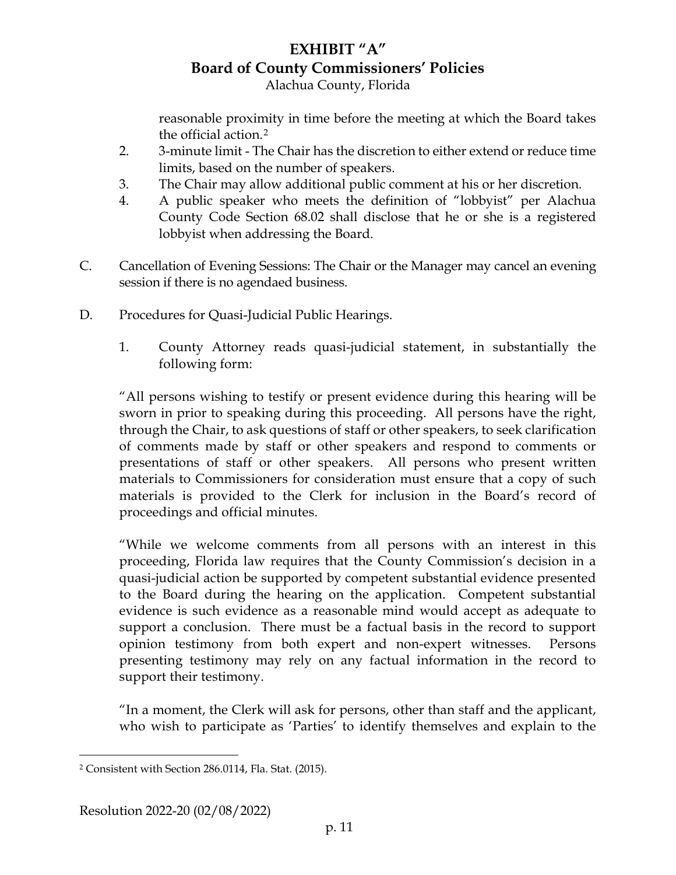Alachua County, Florida

reasonable proximity in time before the meeting at which the Board takes the official action.2

- 2. 3-minute limit The Chair has the discretion to either extend or reduce time limits, based on the number of speakers.
- 3. The Chair may allow additional public comment at his or her discretion.
- 4. A public speaker who meets the definition of "lobbyist" per Alachua County Code Section 68.02 shall disclose that he or she is a registered lobbyist when addressing the Board.
- C. Cancellation of Evening Sessions: The Chair or the Manager may cancel an evening session if there is no agendaed business.
- D. Procedures for Quasi-Judicial Public Hearings.
	- 1. County Attorney reads quasi-judicial statement, in substantially the following form:

"All persons wishing to testify or present evidence during this hearing will be sworn in prior to speaking during this proceeding. All persons have the right, through the Chair, to ask questions of staff or other speakers, to seek clarification of comments made by staff or other speakers and respond to comments or presentations of staff or other speakers. All persons who present written materials to Commissioners for consideration must ensure that a copy of such materials is provided to the Clerk for inclusion in the Board's record of proceedings and official minutes.

"While we welcome comments from all persons with an interest in this proceeding, Florida law requires that the County Commission's decision in a quasi-judicial action be supported by competent substantial evidence presented to the Board during the hearing on the application. Competent substantial evidence is such evidence as a reasonable mind would accept as adequate to support a conclusion. There must be a factual basis in the record to support opinion testimony from both expert and non-expert witnesses. Persons presenting testimony may rely on any factual information in the record to support their testimony.

"In a moment, the Clerk will ask for persons, other than staff and the applicant, who wish to participate as 'Parties' to identify themselves and explain to the

<sup>2</sup> Consistent with Section 286.0114, Fla. Stat. (2015).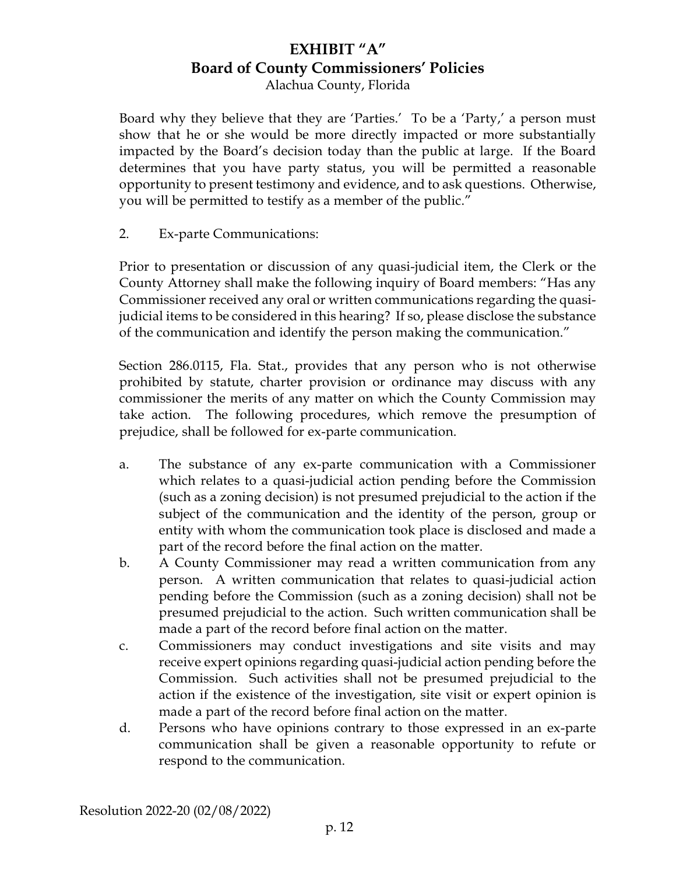Alachua County, Florida

Board why they believe that they are 'Parties.' To be a 'Party,' a person must show that he or she would be more directly impacted or more substantially impacted by the Board's decision today than the public at large. If the Board determines that you have party status, you will be permitted a reasonable opportunity to present testimony and evidence, and to ask questions. Otherwise, you will be permitted to testify as a member of the public."

2. Ex-parte Communications:

Prior to presentation or discussion of any quasi-judicial item, the Clerk or the County Attorney shall make the following inquiry of Board members: "Has any Commissioner received any oral or written communications regarding the quasijudicial items to be considered in this hearing? If so, please disclose the substance of the communication and identify the person making the communication."

Section 286.0115, Fla. Stat., provides that any person who is not otherwise prohibited by statute, charter provision or ordinance may discuss with any commissioner the merits of any matter on which the County Commission may take action. The following procedures, which remove the presumption of prejudice, shall be followed for ex-parte communication.

- a. The substance of any ex-parte communication with a Commissioner which relates to a quasi-judicial action pending before the Commission (such as a zoning decision) is not presumed prejudicial to the action if the subject of the communication and the identity of the person, group or entity with whom the communication took place is disclosed and made a part of the record before the final action on the matter.
- b. A County Commissioner may read a written communication from any person. A written communication that relates to quasi-judicial action pending before the Commission (such as a zoning decision) shall not be presumed prejudicial to the action. Such written communication shall be made a part of the record before final action on the matter.
- c. Commissioners may conduct investigations and site visits and may receive expert opinions regarding quasi-judicial action pending before the Commission. Such activities shall not be presumed prejudicial to the action if the existence of the investigation, site visit or expert opinion is made a part of the record before final action on the matter.
- d. Persons who have opinions contrary to those expressed in an ex-parte communication shall be given a reasonable opportunity to refute or respond to the communication.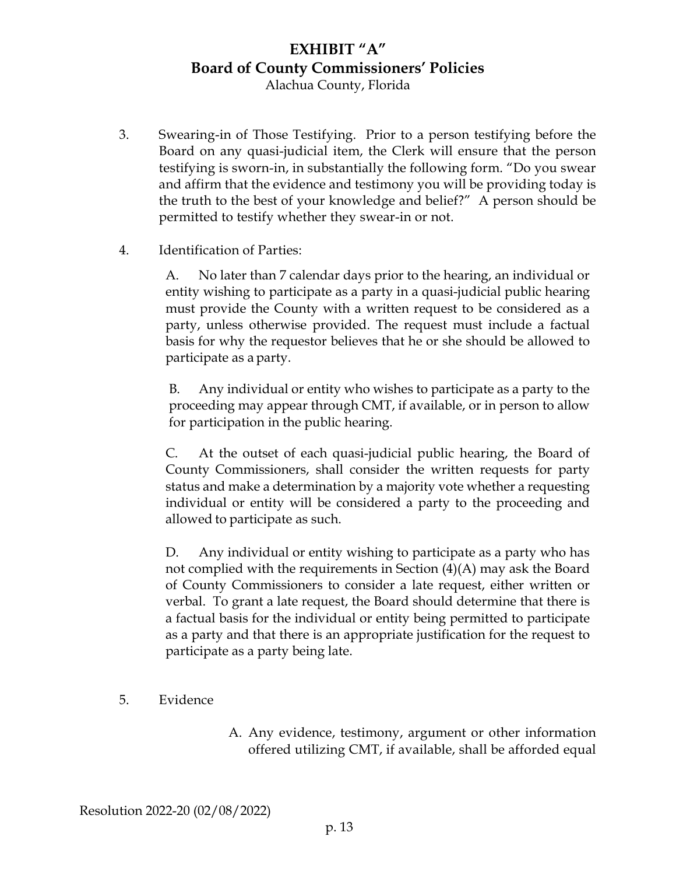Alachua County, Florida

- 3. Swearing-in of Those Testifying. Prior to a person testifying before the Board on any quasi-judicial item, the Clerk will ensure that the person testifying is sworn-in, in substantially the following form. "Do you swear and affirm that the evidence and testimony you will be providing today is the truth to the best of your knowledge and belief?" A person should be permitted to testify whether they swear-in or not.
- 4. Identification of Parties:

A. No later than 7 calendar days prior to the hearing, an individual or entity wishing to participate as a party in a quasi-judicial public hearing must provide the County with a written request to be considered as a party, unless otherwise provided. The request must include a factual basis for why the requestor believes that he or she should be allowed to participate as a party.

B. Any individual or entity who wishes to participate as a party to the proceeding may appear through CMT, if available, or in person to allow for participation in the public hearing.

C. At the outset of each quasi-judicial public hearing, the Board of County Commissioners, shall consider the written requests for party status and make a determination by a majority vote whether a requesting individual or entity will be considered a party to the proceeding and allowed to participate as such.

D. Any individual or entity wishing to participate as a party who has not complied with the requirements in Section  $(4)(A)$  may ask the Board of County Commissioners to consider a late request, either written or verbal. To grant a late request, the Board should determine that there is a factual basis for the individual or entity being permitted to participate as a party and that there is an appropriate justification for the request to participate as a party being late.

- 5. Evidence
- A. Any evidence, testimony, argument or other information offered utilizing CMT, if available, shall be afforded equal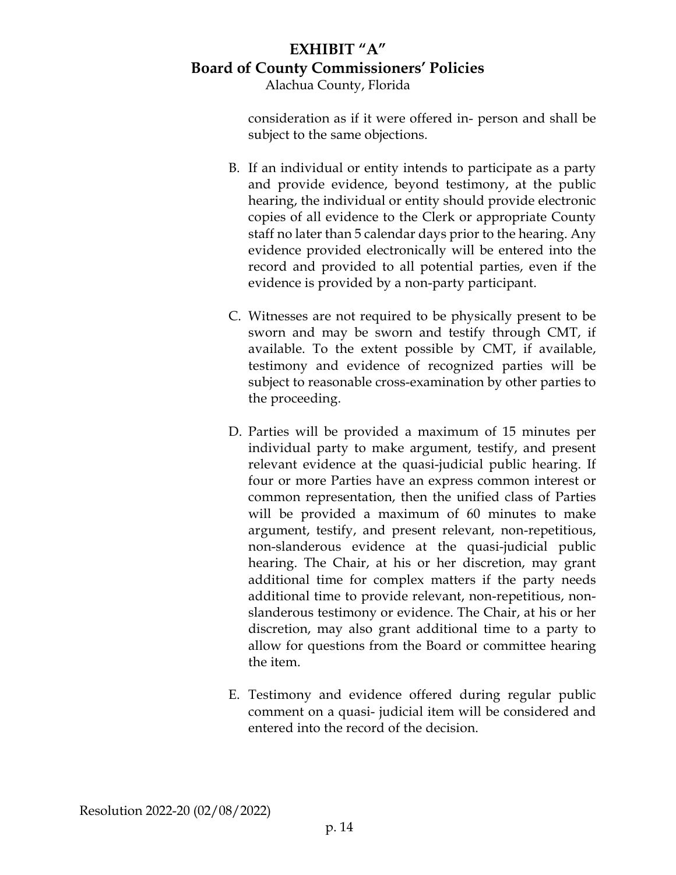Alachua County, Florida

consideration as if it were offered in- person and shall be subject to the same objections.

- B. If an individual or entity intends to participate as a party and provide evidence, beyond testimony, at the public hearing, the individual or entity should provide electronic copies of all evidence to the Clerk or appropriate County staff no later than 5 calendar days prior to the hearing. Any evidence provided electronically will be entered into the record and provided to all potential parties, even if the evidence is provided by a non-party participant.
- C. Witnesses are not required to be physically present to be sworn and may be sworn and testify through CMT, if available. To the extent possible by CMT, if available, testimony and evidence of recognized parties will be subject to reasonable cross-examination by other parties to the proceeding.
- D. Parties will be provided a maximum of 15 minutes per individual party to make argument, testify, and present relevant evidence at the quasi-judicial public hearing. If four or more Parties have an express common interest or common representation, then the unified class of Parties will be provided a maximum of 60 minutes to make argument, testify, and present relevant, non-repetitious, non-slanderous evidence at the quasi-judicial public hearing. The Chair, at his or her discretion, may grant additional time for complex matters if the party needs additional time to provide relevant, non-repetitious, nonslanderous testimony or evidence. The Chair, at his or her discretion, may also grant additional time to a party to allow for questions from the Board or committee hearing the item.
- E. Testimony and evidence offered during regular public comment on a quasi- judicial item will be considered and entered into the record of the decision.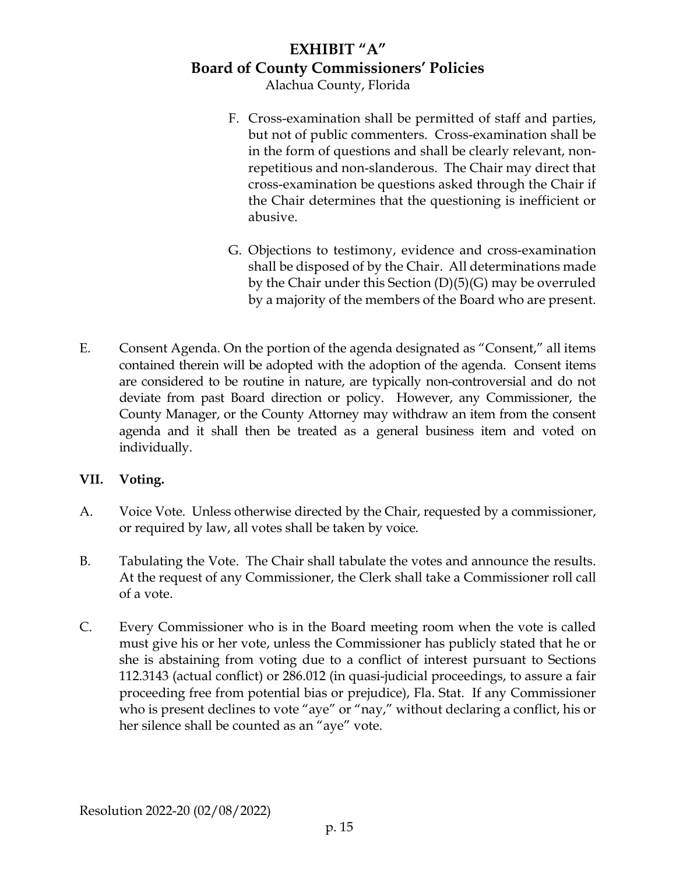Alachua County, Florida

- F. Cross-examination shall be permitted of staff and parties, but not of public commenters. Cross-examination shall be in the form of questions and shall be clearly relevant, nonrepetitious and non-slanderous. The Chair may direct that cross-examination be questions asked through the Chair if the Chair determines that the questioning is inefficient or abusive.
- G. Objections to testimony, evidence and cross-examination shall be disposed of by the Chair. All determinations made by the Chair under this Section (D)(5)(G) may be overruled by a majority of the members of the Board who are present.
- E. Consent Agenda. On the portion of the agenda designated as "Consent," all items contained therein will be adopted with the adoption of the agenda. Consent items are considered to be routine in nature, are typically non-controversial and do not deviate from past Board direction or policy. However, any Commissioner, the County Manager, or the County Attorney may withdraw an item from the consent agenda and it shall then be treated as a general business item and voted on individually.

#### **VII. Voting.**

- A. Voice Vote. Unless otherwise directed by the Chair, requested by a commissioner, or required by law, all votes shall be taken by voice.
- B. Tabulating the Vote. The Chair shall tabulate the votes and announce the results. At the request of any Commissioner, the Clerk shall take a Commissioner roll call of a vote.
- C. Every Commissioner who is in the Board meeting room when the vote is called must give his or her vote, unless the Commissioner has publicly stated that he or she is abstaining from voting due to a conflict of interest pursuant to Sections 112.3143 (actual conflict) or 286.012 (in quasi-judicial proceedings, to assure a fair proceeding free from potential bias or prejudice), Fla. Stat. If any Commissioner who is present declines to vote "aye" or "nay," without declaring a conflict, his or her silence shall be counted as an "aye" vote.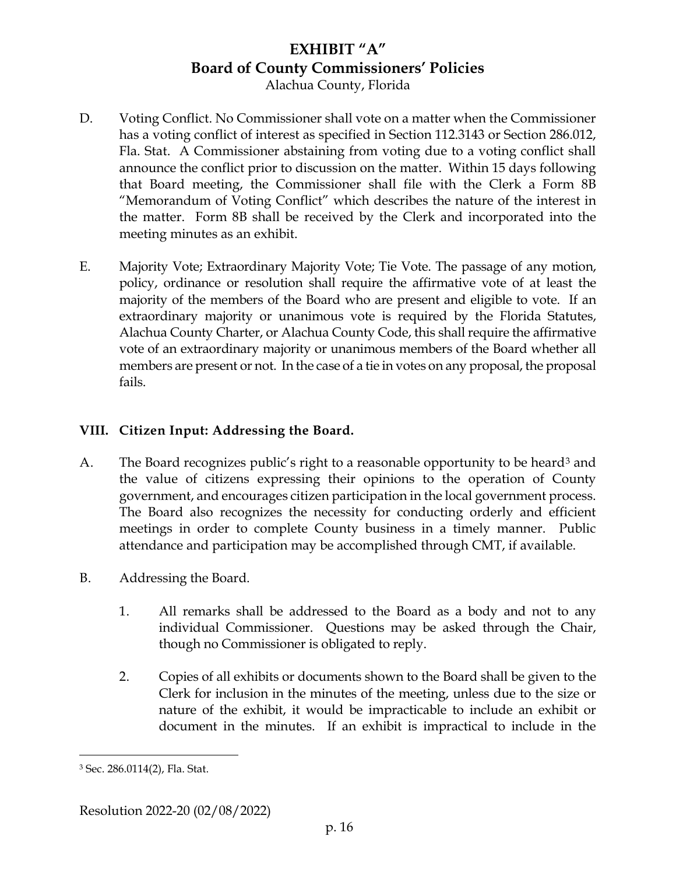Alachua County, Florida

- D. Voting Conflict. No Commissioner shall vote on a matter when the Commissioner has a voting conflict of interest as specified in Section 112.3143 or Section 286.012, Fla. Stat. A Commissioner abstaining from voting due to a voting conflict shall announce the conflict prior to discussion on the matter. Within 15 days following that Board meeting, the Commissioner shall file with the Clerk a Form 8B "Memorandum of Voting Conflict" which describes the nature of the interest in the matter. Form 8B shall be received by the Clerk and incorporated into the meeting minutes as an exhibit.
- E. Majority Vote; Extraordinary Majority Vote; Tie Vote. The passage of any motion, policy, ordinance or resolution shall require the affirmative vote of at least the majority of the members of the Board who are present and eligible to vote. If an extraordinary majority or unanimous vote is required by the Florida Statutes, Alachua County Charter, or Alachua County Code, this shall require the affirmative vote of an extraordinary majority or unanimous members of the Board whether all members are present or not. In the case of a tie in votes on any proposal, the proposal fails.

#### **VIII. Citizen Input: Addressing the Board.**

- A. The Board recognizes public's right to a reasonable opportunity to be heard<sup>[3](#page-17-0)</sup> and the value of citizens expressing their opinions to the operation of County government, and encourages citizen participation in the local government process. The Board also recognizes the necessity for conducting orderly and efficient meetings in order to complete County business in a timely manner. Public attendance and participation may be accomplished through CMT, if available.
- B. Addressing the Board.
	- 1. All remarks shall be addressed to the Board as a body and not to any individual Commissioner. Questions may be asked through the Chair, though no Commissioner is obligated to reply.
	- 2. Copies of all exhibits or documents shown to the Board shall be given to the Clerk for inclusion in the minutes of the meeting, unless due to the size or nature of the exhibit, it would be impracticable to include an exhibit or document in the minutes. If an exhibit is impractical to include in the

<span id="page-17-0"></span><sup>3</sup> Sec. 286.0114(2), Fla. Stat.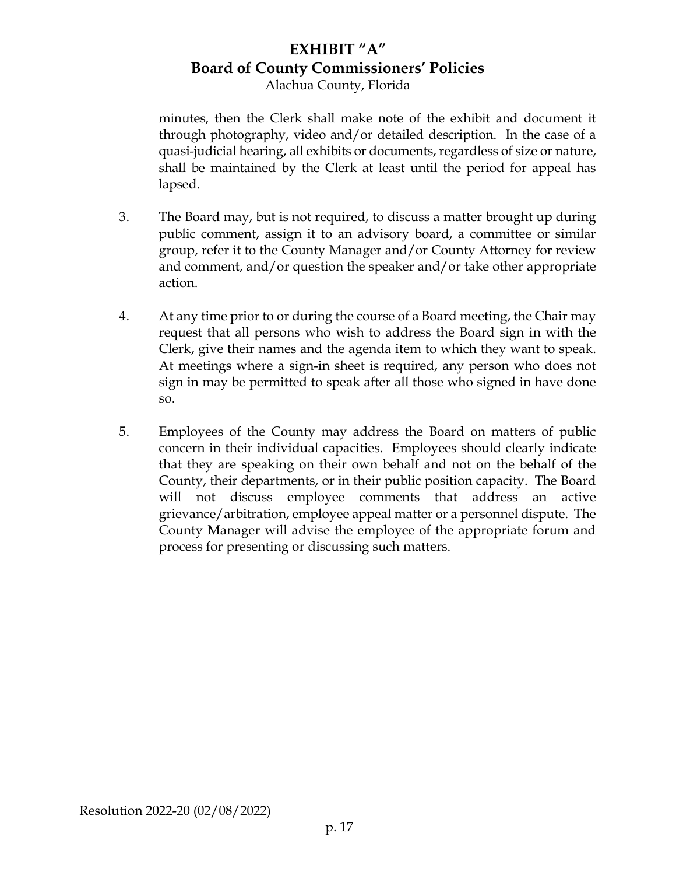Alachua County, Florida

minutes, then the Clerk shall make note of the exhibit and document it through photography, video and/or detailed description. In the case of a quasi-judicial hearing, all exhibits or documents, regardless of size or nature, shall be maintained by the Clerk at least until the period for appeal has lapsed.

- 3. The Board may, but is not required, to discuss a matter brought up during public comment, assign it to an advisory board, a committee or similar group, refer it to the County Manager and/or County Attorney for review and comment, and/or question the speaker and/or take other appropriate action.
- 4. At any time prior to or during the course of a Board meeting, the Chair may request that all persons who wish to address the Board sign in with the Clerk, give their names and the agenda item to which they want to speak. At meetings where a sign-in sheet is required, any person who does not sign in may be permitted to speak after all those who signed in have done so.
- 5. Employees of the County may address the Board on matters of public concern in their individual capacities. Employees should clearly indicate that they are speaking on their own behalf and not on the behalf of the County, their departments, or in their public position capacity. The Board will not discuss employee comments that address an active grievance/arbitration, employee appeal matter or a personnel dispute. The County Manager will advise the employee of the appropriate forum and process for presenting or discussing such matters.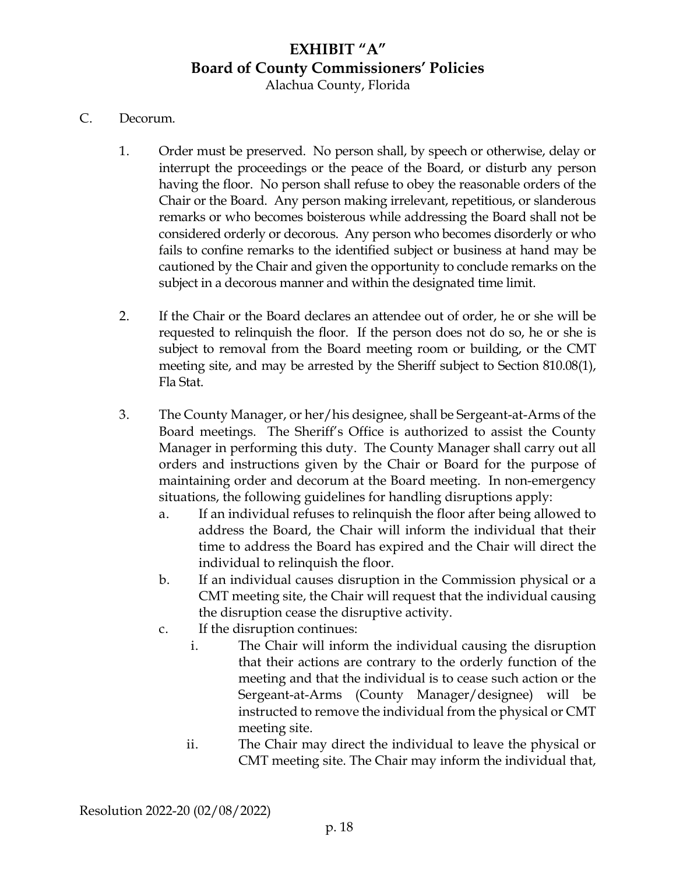Alachua County, Florida

#### C. Decorum.

- 1. Order must be preserved. No person shall, by speech or otherwise, delay or interrupt the proceedings or the peace of the Board, or disturb any person having the floor. No person shall refuse to obey the reasonable orders of the Chair or the Board. Any person making irrelevant, repetitious, or slanderous remarks or who becomes boisterous while addressing the Board shall not be considered orderly or decorous. Any person who becomes disorderly or who fails to confine remarks to the identified subject or business at hand may be cautioned by the Chair and given the opportunity to conclude remarks on the subject in a decorous manner and within the designated time limit.
- 2. If the Chair or the Board declares an attendee out of order, he or she will be requested to relinquish the floor. If the person does not do so, he or she is subject to removal from the Board meeting room or building, or the CMT meeting site, and may be arrested by the Sheriff subject to Section 810.08(1), Fla Stat.
- 3. The County Manager, or her/his designee, shall be Sergeant-at-Arms of the Board meetings. The Sheriff's Office is authorized to assist the County Manager in performing this duty. The County Manager shall carry out all orders and instructions given by the Chair or Board for the purpose of maintaining order and decorum at the Board meeting. In non-emergency situations, the following guidelines for handling disruptions apply:
	- a. If an individual refuses to relinquish the floor after being allowed to address the Board, the Chair will inform the individual that their time to address the Board has expired and the Chair will direct the individual to relinquish the floor.
	- b. If an individual causes disruption in the Commission physical or a CMT meeting site, the Chair will request that the individual causing the disruption cease the disruptive activity.
	- c. If the disruption continues:
		- i. The Chair will inform the individual causing the disruption that their actions are contrary to the orderly function of the meeting and that the individual is to cease such action or the Sergeant-at-Arms (County Manager/designee) will be instructed to remove the individual from the physical or CMT meeting site.
		- ii. The Chair may direct the individual to leave the physical or CMT meeting site. The Chair may inform the individual that,

Resolution 2022-20 (02/08/2022)